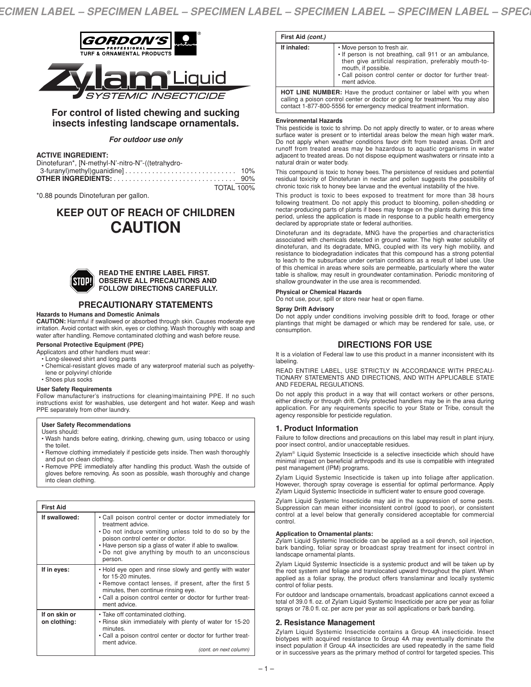

# **For control of listed chewing and sucking insects infesting landscape ornamentals.**

## *For outdoor use only*

## **ACTIVE INGREDIENT:**

| Dinotefuran*, [N-methyl-N'-nitro-N"-((tetrahydro- |  |
|---------------------------------------------------|--|
|                                                   |  |
|                                                   |  |
| <b>TOTAL 100%</b>                                 |  |

\*0.88 pounds Dinotefuran per gallon.

# **KEEP OUT OF REACH OF CHILDREN CAUTION**



#### **READ THE ENTIRE LABEL FIRST. OBSERVE ALL PRECAUTIONS AND FOLLOW DIRECTIONS CAREFULLY.**

# **PRECAUTIONARY STATEMENTS**

## **Hazards to Humans and Domestic Animals**

**CAUTION:** Harmful if swallowed or absorbed through skin. Causes moderate eye irritation. Avoid contact with skin, eyes or clothing. Wash thoroughly with soap and water after handling. Remove contaminated clothing and wash before reuse.

## **Personal Protective Equipment (PPE)**

Applicators and other handlers must wear:

- Long-sleeved shirt and long pants
- Chemical-resistant gloves made of any waterproof material such as polyethylene or polyvinyl chloride
- Shoes plus socks

## **User Safety Requirements**

Follow manufacturer's instructions for cleaning/maintaining PPE. If no such instructions exist for washables, use detergent and hot water. Keep and wash PPE separately from other laundry.

## **User Safety Recommendations**

Users should:

- Wash hands before eating, drinking, chewing gum, using tobacco or using the toilet.
- Remove clothing immediately if pesticide gets inside. Then wash thoroughly and put on clean clothing.
- Remove PPE immediately after handling this product. Wash the outside of gloves before removing. As soon as possible, wash thoroughly and change into clean clothing.

| <b>First Aid</b>              |                                                                                                                                                                                                                                                                                                   |
|-------------------------------|---------------------------------------------------------------------------------------------------------------------------------------------------------------------------------------------------------------------------------------------------------------------------------------------------|
| If swallowed:                 | • Call poison control center or doctor immediately for<br>treatment advice.<br>• Do not induce vomiting unless told to do so by the<br>poison control center or doctor.<br>• Have person sip a glass of water if able to swallow.<br>. Do not give anything by mouth to an unconscious<br>person. |
| If in eyes:                   | • Hold eye open and rinse slowly and gently with water<br>for 15-20 minutes.<br>• Remove contact lenses, if present, after the first 5<br>minutes, then continue rinsing eye.<br>• Call a poison control center or doctor for further treat-<br>ment advice.                                      |
| If on skin or<br>on clothing: | • Take off contaminated clothing.<br>. Rinse skin immediately with plenty of water for 15-20<br>minutes.<br>. Call a poison control center or doctor for further treat-<br>ment advice.<br>(cont. on next column)                                                                                 |

| First Aid (cont.) |                                                                                                                                                                                                                                                      |
|-------------------|------------------------------------------------------------------------------------------------------------------------------------------------------------------------------------------------------------------------------------------------------|
| If inhaled:       | • Move person to fresh air.<br>. If person is not breathing, call 911 or an ambulance,<br>then give artificial respiration, preferably mouth-to-<br>mouth, if possible.<br>. Call poison control center or doctor for further treat-<br>ment advice. |
|                   | <b>HOT LINE NUMBER:</b> Have the product container or label with you when<br>calling a poison control center or doctor or going for treatment. You may also<br>contact 1-877-800-5556 for emergency medical treatment information.                   |

#### **Environmental Hazards**

This pesticide is toxic to shrimp. Do not apply directly to water, or to areas where surface water is present or to intertidal areas below the mean high water mark. Do not apply when weather conditions favor drift from treated areas. Drift and runoff from treated areas may be hazardous to aquatic organisms in water adjacent to treated areas. Do not dispose equipment washwaters or rinsate into a natural drain or water body.

This compound is toxic to honey bees. The persistence of residues and potential residual toxicity of Dinotefuran in nectar and pollen suggests the possibility of chronic toxic risk to honey bee larvae and the eventual instability of the hive.

This product is toxic to bees exposed to treatment for more than 38 hours following treatment. Do not apply this product to blooming, pollen-shedding or nectar-producing parts of plants if bees may forage on the plants during this time period, unless the application is made in response to a public health emergency declared by appropriate state or federal authorities.

Dinotefuran and its degradate, MNG have the properties and characteristics associated with chemicals detected in ground water. The high water solubility of dinotefuran, and its degradate, MNG, coupled with its very high mobility, and resistance to biodegradation indicates that this compound has a strong potential to leach to the subsurface under certain conditions as a result of label use. Use of this chemical in areas where soils are permeable, particularly where the water table is shallow, may result in groundwater contamination. Periodic monitoring of shallow groundwater in the use area is recommended.

#### **Physical or Chemical Hazards**

Do not use, pour, spill or store near heat or open flame.

#### **Spray Drift Advisory**

Do not apply under conditions involving possible drift to food, forage or other plantings that might be damaged or which may be rendered for sale, use, or consumption.

## **DIRECTIONS FOR USE**

It is a violation of Federal law to use this product in a manner inconsistent with its labeling.

READ ENTIRE LABEL, USE STRICTLY IN ACCORDANCE WITH PRECAU-TIONARY STATEMENTS AND DIRECTIONS, AND WITH APPLICABLE STATE AND FEDERAL REGULATIONS.

Do not apply this product in a way that will contact workers or other persons, either directly or through drift. Only protected handlers may be in the area during application. For any requirements specific to your State or Tribe, consult the agency responsible for pesticide regulation.

## **1. Product Information**

Failure to follow directions and precautions on this label may result in plant injury, poor insect control, and/or unacceptable residues.

Zylam® Liquid Systemic Insecticide is a selective insecticide which should have minimal impact on beneficial arthropods and its use is compatible with integrated pest management (IPM) programs.

Zylam Liquid Systemic Insecticide is taken up into foliage after application. However, thorough spray coverage is essential for optimal performance. Apply Zylam Liquid Systemic Insecticide in sufficient water to ensure good coverage.

Zylam Liquid Systemic Insecticide may aid in the suppression of some pests. Suppression can mean either inconsistent control (good to poor), or consistent control at a level below that generally considered acceptable for commercial control.

#### **Application to Ornamental plants:**

Zylam Liquid Systemic Insecticide can be applied as a soil drench, soil injection, bark banding, foliar spray or broadcast spray treatment for insect control in landscape ornamental plants.

Zylam Liquid Systemic Insecticide is a systemic product and will be taken up by the root system and foliage and translocated upward throughout the plant. When applied as a foliar spray, the product offers translaminar and locally systemic control of foliar pests.

For outdoor and landscape ornamentals, broadcast applications cannot exceed a total of 39.0 fl. oz. of Zylam Liquid Systemic Insecticide per acre per year as foliar sprays or 78.0 fl. oz. per acre per year as soil applications or bark banding.

## **2. Resistance Management**

Zylam Liquid Systemic Insecticide contains a Group 4A insecticide. Insect biotypes with acquired resistance to Group 4A may eventually dominate the insect population if Group 4A insecticides are used repeatedly in the same field or in successive years as the primary method of control for targeted species. This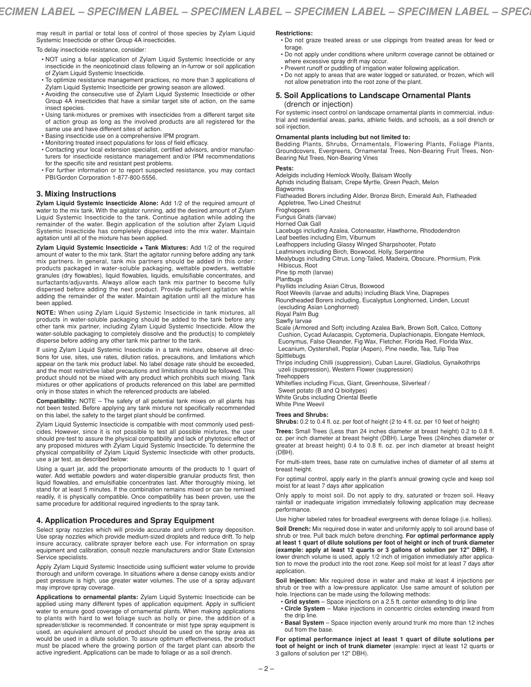may result in partial or total loss of control of those species by Zylam Liquid Systemic Insecticide or other Group 4A insecticides.

To delay insecticide resistance, consider:

- NOT using a foliar application of Zylam Liquid Systemic Insecticide or any insecticide in the neonicotinoid class following an in-furrow or soil application of Zylam Liquid Systemic Insecticide.
- To optimize resistance management practices, no more than 3 applications of Zylam Liquid Systemic Insecticide per growing season are allowed.
- Avoiding the consecutive use of Zylam Liquid Systemic Insecticide or other Group 4A insecticides that have a similar target site of action, on the same insect species.
- Using tank-mixtures or premixes with insecticides from a different target site of action group as long as the involved products are all registered for the same use and have different sites of action.
- Basing insecticide use on a comprehensive IPM program.
- Monitoring treated insect populations for loss of field efficacy.
- Contacting your local extension specialist, certified advisors, and/or manufacturers for insecticide resistance management and/or IPM recommendations for the specific site and resistant pest problems.
- For further information or to report suspected resistance, you may contact PBI/Gordon Corporation 1-877-800-5556.

## **3. Mixing Instructions**

**Zylam Liquid Systemic Insecticide Alone:** Add 1/2 of the required amount of water to the mix tank. With the agitator running, add the desired amount of Zylam Liquid Systemic Insecticide to the tank. Continue agitation while adding the remainder of the water. Begin application of the solution after Zylam Liquid Systemic Insecticide has completely dispersed into the mix water. Maintain agitation until all of the mixture has been applied.

**Zylam Liquid Systemic Insecticide + Tank Mixtures:** Add 1/2 of the required amount of water to the mix tank. Start the agitator running before adding any tank mix partners. In general, tank mix partners should be added in this order: products packaged in water-soluble packaging, wettable powders, wettable granules (dry flowables), liquid flowables, liquids, emulsifiable concentrates, and surfactants/adjuvants. Always allow each tank mix partner to become fully dispersed before adding the next product. Provide sufficient agitation while adding the remainder of the water. Maintain agitation until all the mixture has been applied.

**NOTE:** When using Zylam Liquid Systemic Insecticide in tank mixtures, all products in water-soluble packaging should be added to the tank before any other tank mix partner, including Zylam Liquid Systemic Insecticide. Allow the water-soluble packaging to completely dissolve and the product(s) to completely disperse before adding any other tank mix partner to the tank.

If using Zylam Liquid Systemic Insecticide in a tank mixture, observe all directions for use, sites, use rates, dilution ratios, precautions, and limitations which appear on the tank mix product label. No label dosage rate should be exceeded, and the most restrictive label precautions and limitations should be followed. This product should not be mixed with any product which prohibits such mixing. Tank mixtures or other applications of products referenced on this label are permitted only in those states in which the referenced products are labeled.

**Compatibility:** NOTE – The safety of all potential tank mixes on all plants has not been tested. Before applying any tank mixture not specifically recommended on this label, the safety to the target plant should be confirmed.

Zylam Liquid Systemic Insecticide is compatible with most commonly used pesticides. However, since it is not possible to test all possible mixtures, the user should pre-test to assure the physical compatibility and lack of phytotoxic effect of any proposed mixtures with Zylam Liquid Systemic Insecticide. To determine the physical compatibility of Zylam Liquid Systemic Insecticide with other products, use a jar test, as described below:

Using a quart jar, add the proportionate amounts of the products to 1 quart of water. Add wettable powders and water-dispersible granular products first, then liquid flowables, and emulsifiable concentrates last. After thoroughly mixing, let stand for at least 5 minutes. If the combination remains mixed or can be remixed readily, it is physically compatible. Once compatibility has been proven, use the same procedure for additional required ingredients to the spray tank.

## **4. Application Procedures and Spray Equipment**

Select spray nozzles which will provide accurate and uniform spray deposition. Use spray nozzles which provide medium-sized droplets and reduce drift. To help insure accuracy, calibrate sprayer before each use. For information on spray equipment and calibration, consult nozzle manufacturers and/or State Extension Service specialists.

Apply Zylam Liquid Systemic Insecticide using sufficient water volume to provide thorough and uniform coverage. In situations where a dense canopy exists and/or pest pressure is high, use greater water volumes. The use of a spray adjuvant may improve spray coverage.

**Applications to ornamental plants:** Zylam Liquid Systemic Insecticide can be applied using many different types of application equipment. Apply in sufficient water to ensure good coverage of ornamental plants. When making applications to plants with hard to wet foliage such as holly or pine, the addition of a spreader/sticker is recommended. If concentrate or mist type spray equipment is used, an equivalent amount of product should be used on the spray area as would be used in a dilute solution. To assure optimum effectiveness, the product must be placed where the growing portion of the target plant can absorb the active ingredient. Applications can be made to foliage or as a soil drench.

**Restrictions:**

- Do not graze treated areas or use clippings from treated areas for feed or forage.
- Do not apply under conditions where uniform coverage cannot be obtained or where excessive spray drift may occur.
- Prevent runoff or puddling of irrigation water following application.
- Do not apply to areas that are water logged or saturated, or frozen, which will not allow penetration into the root zone of the plant.

## **5. Soil Applications to Landscape Ornamental Plants** (drench or injection)

For systemic insect control on landscape ornamental plants in commercial, industrial and residential areas, parks, athletic fields, and schools, as a soil drench or soil injection.

#### **Ornamental plants including but not limited to:**

Bedding Plants, Shrubs, Ornamentals, Flowering Plants, Foliage Plants, Groundcovers, Evergreens, Ornamental Trees, Non-Bearing Fruit Trees, Non-Bearing Nut Trees, Non-Bearing Vines

#### **Pests:**

Adelgids including Hemlock Woolly, Balsam Woolly

Aphids including Balsam, Crepe Myrtle, Green Peach, Melon

**Bagworms** 

Flatheaded Borers including Alder, Bronze Birch, Emerald Ash, Flatheaded Appletree, Two-Lined Chestnut

**Froghoppers** 

Fungus Gnats (larvae)

Horned Oak Gall

Lacebugs including Azalea, Cotoneaster, Hawthorne, Rhododendron Leaf beetles including Elm, Viburnum

Leafhoppers including Glassy Winged Sharpshooter, Potato

Leafminers including Birch, Boxwood, Holly, Serpentine

Mealybugs including Citrus, Long-Tailed, Madeira, Obscure, Phormium, Pink Hibiscus, Root

Pine tip moth (larvae)

Plantbugs

Psyllids including Asian Citrus, Boxwood

Root Weevils (larvae and adults) including Black Vine, Diaprepes Roundheaded Borers including, Eucalyptus Longhorned, Linden, Locust

(excluding Asian Longhorned) Royal Palm Bug

Sawfly larvae

Scale (Armored and Soft) including Azalea Bark, Brown Soft, Calico, Cottony Cushion, Cycad Aulacaspis, Cyptomeria, Duplachionapis, Elongate Hemlock, Euonymus, False Oleander, Fig Wax, Fletcher, Florida Red, Florida Wax, Lecanium, Oystershell, Poplar (Aspen), Pine needle, Tea, Tulip Tree

Spittlebugs Thrips including Chilli (suppression), Cuban Laurel, Gladiolus, Gynaikothrips

uzeli (suppression), Western Flower (suppression)

**Treehoppers** 

Whiteflies including Ficus, Giant, Greenhouse, Silverleaf /

Sweet potato (B and Q bioitypes)

White Grubs including Oriental Beetle White Pine Weevil

## **Trees and Shrubs:**

**Shrubs:** 0.2 to 0.4 fl. oz. per foot of height (2 to 4 fl. oz. per 10 feet of height)

**Trees:** Small Trees (Less than 24 inches diameter at breast height) 0.2 to 0.8 fl. oz. per inch diameter at breast height (DBH). Large Trees (24inches diameter or greater at breast height) 0.4 to 0.8 fl. oz. per inch diameter at breast height (DBH).

For multi-stem trees, base rate on cumulative inches of diameter of all stems at breast height.

For optimal control, apply early in the plant's annual growing cycle and keep soil moist for at least 7 days after application

Only apply to moist soil. Do not apply to dry, saturated or frozen soil. Heavy rainfall or inadequate irrigation immediately following application may decrease performance.

Use higher labeled rates for broadleaf evergreens with dense foliage (i.e. hollies).

**Soil Drench:** Mix required dose in water and uniformly apply to soil around base of shrub or tree. Pull back mulch before drenching. **For optimal performance apply at least 1 quart of dilute solutions per foot of height or inch of trunk diameter (example: apply at least 12 quarts or 3 gallons of solution per 12" DBH).** If lower drench volume is used, apply 1/2 inch of irrigation immediately after application to move the product into the root zone. Keep soil moist for at least 7 days after application.

**Soil Injection:** Mix required dose in water and make at least 4 injections per shrub or tree with a low-pressure applicator. Use same amount of solution per hole. Injections can be made using the following methods:

- Grid system Space injections on a 2.5 ft. center extending to drip line
- **Circle System** Make injections in concentric circles extending inward from the drip line.
- **Basal System** Space injection evenly around trunk mo more than 12 inches out from the base.

**For optimal performance inject at least 1 quart of dilute solutions per foot of height or inch of trunk diameter** (example: inject at least 12 quarts or 3 gallons of solution per 12" DBH).